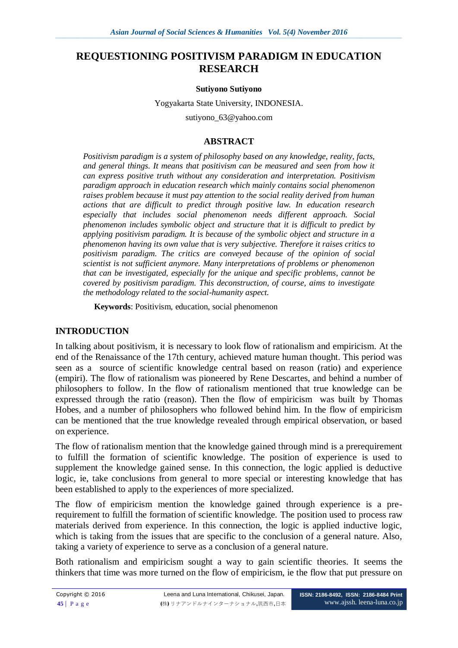# **REQUESTIONING POSITIVISM PARADIGM IN EDUCATION RESEARCH**

#### **Sutiyono Sutiyono**

Yogyakarta State University, INDONESIA.

[sutiyono\\_63@yahoo.com](mailto:sutiyono_63@yahoo.com)

### **ABSTRACT**

*Positivism paradigm is a system of philosophy based on any knowledge, reality, facts, and general things. It means that positivism can be measured and seen from how it can express positive truth without any consideration and interpretation. Positivism paradigm approach in education research which mainly contains social phenomenon raises problem because it must pay attention to the social reality derived from human actions that are difficult to predict through positive law. In education research especially that includes social phenomenon needs different approach. Social phenomenon includes symbolic object and structure that it is difficult to predict by applying positivism paradigm. It is because of the symbolic object and structure in a phenomenon having its own value that is very subjective. Therefore it raises critics to positivism paradigm. The critics are conveyed because of the opinion of social scientist is not sufficient anymore. Many interpretations of problems or phenomenon that can be investigated, especially for the unique and specific problems, cannot be covered by positivism paradigm. This deconstruction, of course, aims to investigate the methodology related to the social-humanity aspect.*

**Keywords**: Positivism, education, social phenomenon

### **INTRODUCTION**

In talking about positivism, it is necessary to look flow of rationalism and empiricism. At the end of the Renaissance of the 17th century, achieved mature human thought. This period was seen as a source of scientific knowledge central based on reason (ratio) and experience (empiri). The flow of rationalism was pioneered by Rene Descartes, and behind a number of philosophers to follow. In the flow of rationalism mentioned that true knowledge can be expressed through the ratio (reason). Then the flow of empiricism was built by Thomas Hobes, and a number of philosophers who followed behind him. In the flow of empiricism can be mentioned that the true knowledge revealed through empirical observation, or based on experience.

The flow of rationalism mention that the knowledge gained through mind is a prerequirement to fulfill the formation of scientific knowledge. The position of experience is used to supplement the knowledge gained sense. In this connection, the logic applied is deductive logic, ie, take conclusions from general to more special or interesting knowledge that has been established to apply to the experiences of more specialized.

The flow of empiricism mention the knowledge gained through experience is a prerequirement to fulfill the formation of scientific knowledge. The position used to process raw materials derived from experience. In this connection, the logic is applied inductive logic, which is taking from the issues that are specific to the conclusion of a general nature. Also, taking a variety of experience to serve as a conclusion of a general nature.

Both rationalism and empiricism sought a way to gain scientific theories. It seems the thinkers that time was more turned on the flow of empiricism, ie the flow that put pressure on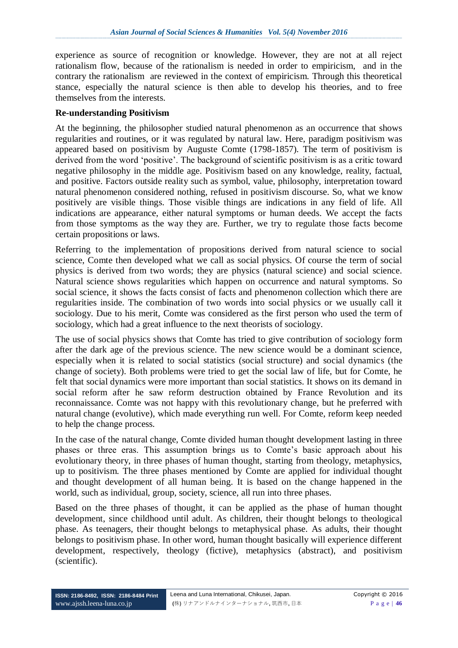experience as source of recognition or knowledge. However, they are not at all reject rationalism flow, because of the rationalism is needed in order to empiricism, and in the contrary the rationalism are reviewed in the context of empiricism. Through this theoretical stance, especially the natural science is then able to develop his theories, and to free themselves from the interests.

#### **Re-understanding Positivism**

At the beginning, the philosopher studied natural phenomenon as an occurrence that shows regularities and routines, or it was regulated by natural law. Here, paradigm positivism was appeared based on positivism by Auguste Comte (1798-1857). The term of positivism is derived from the word "positive". The background of scientific positivism is as a critic toward negative philosophy in the middle age. Positivism based on any knowledge, reality, factual, and positive. Factors outside reality such as symbol, value, philosophy, interpretation toward natural phenomenon considered nothing, refused in positivism discourse. So, what we know positively are visible things. Those visible things are indications in any field of life. All indications are appearance, either natural symptoms or human deeds. We accept the facts from those symptoms as the way they are. Further, we try to regulate those facts become certain propositions or laws.

Referring to the implementation of propositions derived from natural science to social science, Comte then developed what we call as social physics. Of course the term of social physics is derived from two words; they are physics (natural science) and social science. Natural science shows regularities which happen on occurrence and natural symptoms. So social science, it shows the facts consist of facts and phenomenon collection which there are regularities inside. The combination of two words into social physics or we usually call it sociology. Due to his merit, Comte was considered as the first person who used the term of sociology, which had a great influence to the next theorists of sociology.

The use of social physics shows that Comte has tried to give contribution of sociology form after the dark age of the previous science. The new science would be a dominant science, especially when it is related to social statistics (social structure) and social dynamics (the change of society). Both problems were tried to get the social law of life, but for Comte, he felt that social dynamics were more important than social statistics. It shows on its demand in social reform after he saw reform destruction obtained by France Revolution and its reconnaissance. Comte was not happy with this revolutionary change, but he preferred with natural change (evolutive), which made everything run well. For Comte, reform keep needed to help the change process.

In the case of the natural change, Comte divided human thought development lasting in three phases or three eras. This assumption brings us to Comte's basic approach about his evolutionary theory, in three phases of human thought, starting from theology, metaphysics, up to positivism. The three phases mentioned by Comte are applied for individual thought and thought development of all human being. It is based on the change happened in the world, such as individual, group, society, science, all run into three phases.

Based on the three phases of thought, it can be applied as the phase of human thought development, since childhood until adult. As children, their thought belongs to theological phase. As teenagers, their thought belongs to metaphysical phase. As adults, their thought belongs to positivism phase. In other word, human thought basically will experience different development, respectively, theology (fictive), metaphysics (abstract), and positivism (scientific).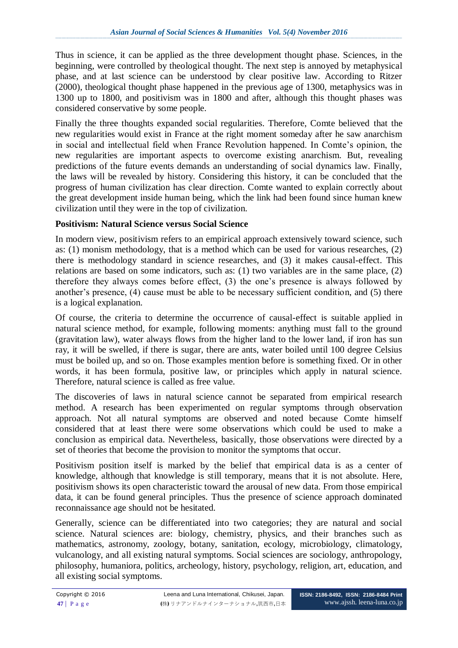Thus in science, it can be applied as the three development thought phase. Sciences, in the beginning, were controlled by theological thought. The next step is annoyed by metaphysical phase, and at last science can be understood by clear positive law. According to Ritzer (2000), theological thought phase happened in the previous age of 1300, metaphysics was in 1300 up to 1800, and positivism was in 1800 and after, although this thought phases was considered conservative by some people.

Finally the three thoughts expanded social regularities. Therefore, Comte believed that the new regularities would exist in France at the right moment someday after he saw anarchism in social and intellectual field when France Revolution happened. In Comte's opinion, the new regularities are important aspects to overcome existing anarchism. But, revealing predictions of the future events demands an understanding of social dynamics law. Finally, the laws will be revealed by history. Considering this history, it can be concluded that the progress of human civilization has clear direction. Comte wanted to explain correctly about the great development inside human being, which the link had been found since human knew civilization until they were in the top of civilization.

## **Positivism: Natural Science versus Social Science**

In modern view, positivism refers to an empirical approach extensively toward science, such as: (1) monism methodology, that is a method which can be used for various researches, (2) there is methodology standard in science researches, and (3) it makes causal-effect. This relations are based on some indicators, such as: (1) two variables are in the same place, (2) therefore they always comes before effect, (3) the one"s presence is always followed by another's presence, (4) cause must be able to be necessary sufficient condition, and (5) there is a logical explanation.

Of course, the criteria to determine the occurrence of causal-effect is suitable applied in natural science method, for example, following moments: anything must fall to the ground (gravitation law), water always flows from the higher land to the lower land, if iron has sun ray, it will be swelled, if there is sugar, there are ants, water boiled until 100 degree Celsius must be boiled up, and so on. Those examples mention before is something fixed. Or in other words, it has been formula, positive law, or principles which apply in natural science. Therefore, natural science is called as free value.

The discoveries of laws in natural science cannot be separated from empirical research method. A research has been experimented on regular symptoms through observation approach. Not all natural symptoms are observed and noted because Comte himself considered that at least there were some observations which could be used to make a conclusion as empirical data. Nevertheless, basically, those observations were directed by a set of theories that become the provision to monitor the symptoms that occur.

Positivism position itself is marked by the belief that empirical data is as a center of knowledge, although that knowledge is still temporary, means that it is not absolute. Here, positivism shows its open characteristic toward the arousal of new data. From those empirical data, it can be found general principles. Thus the presence of science approach dominated reconnaissance age should not be hesitated.

Generally, science can be differentiated into two categories; they are natural and social science. Natural sciences are: biology, chemistry, physics, and their branches such as mathematics, astronomy, zoology, botany, sanitation, ecology, microbiology, climatology, vulcanology, and all existing natural symptoms. Social sciences are sociology, anthropology, philosophy, humaniora, politics, archeology, history, psychology, religion, art, education, and all existing social symptoms.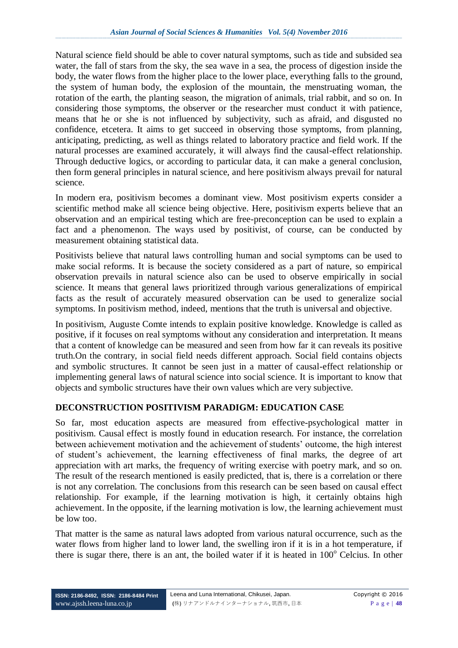Natural science field should be able to cover natural symptoms, such as tide and subsided sea water, the fall of stars from the sky, the sea wave in a sea, the process of digestion inside the body, the water flows from the higher place to the lower place, everything falls to the ground, the system of human body, the explosion of the mountain, the menstruating woman, the rotation of the earth, the planting season, the migration of animals, trial rabbit, and so on. In considering those symptoms, the observer or the researcher must conduct it with patience, means that he or she is not influenced by subjectivity, such as afraid, and disgusted no confidence, etcetera. It aims to get succeed in observing those symptoms, from planning, anticipating, predicting, as well as things related to laboratory practice and field work. If the natural processes are examined accurately, it will always find the causal-effect relationship. Through deductive logics, or according to particular data, it can make a general conclusion, then form general principles in natural science, and here positivism always prevail for natural science.

In modern era, positivism becomes a dominant view. Most positivism experts consider a scientific method make all science being objective. Here, positivism experts believe that an observation and an empirical testing which are free-preconception can be used to explain a fact and a phenomenon. The ways used by positivist, of course, can be conducted by measurement obtaining statistical data.

Positivists believe that natural laws controlling human and social symptoms can be used to make social reforms. It is because the society considered as a part of nature, so empirical observation prevails in natural science also can be used to observe empirically in social science. It means that general laws prioritized through various generalizations of empirical facts as the result of accurately measured observation can be used to generalize social symptoms. In positivism method, indeed, mentions that the truth is universal and objective.

In positivism, Auguste Comte intends to explain positive knowledge. Knowledge is called as positive, if it focuses on real symptoms without any consideration and interpretation. It means that a content of knowledge can be measured and seen from how far it can reveals its positive truth.On the contrary, in social field needs different approach. Social field contains objects and symbolic structures. It cannot be seen just in a matter of causal-effect relationship or implementing general laws of natural science into social science. It is important to know that objects and symbolic structures have their own values which are very subjective.

## **DECONSTRUCTION POSITIVISM PARADIGM: EDUCATION CASE**

So far, most education aspects are measured from effective-psychological matter in positivism. Causal effect is mostly found in education research. For instance, the correlation between achievement motivation and the achievement of students' outcome, the high interest of student"s achievement, the learning effectiveness of final marks, the degree of art appreciation with art marks, the frequency of writing exercise with poetry mark, and so on. The result of the research mentioned is easily predicted, that is, there is a correlation or there is not any correlation. The conclusions from this research can be seen based on causal effect relationship. For example, if the learning motivation is high, it certainly obtains high achievement. In the opposite, if the learning motivation is low, the learning achievement must be low too.

That matter is the same as natural laws adopted from various natural occurrence, such as the water flows from higher land to lower land, the swelling iron if it is in a hot temperature, if there is sugar there, there is an ant, the boiled water if it is heated in  $100^{\circ}$  Celcius. In other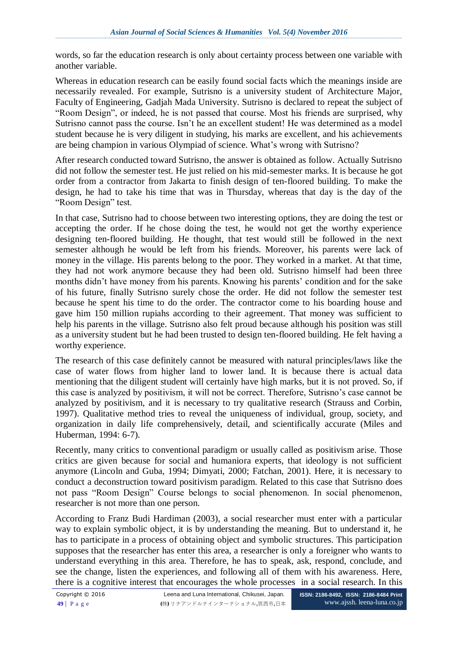words, so far the education research is only about certainty process between one variable with another variable.

Whereas in education research can be easily found social facts which the meanings inside are necessarily revealed. For example, Sutrisno is a university student of Architecture Major, Faculty of Engineering, Gadjah Mada University. Sutrisno is declared to repeat the subject of "Room Design", or indeed, he is not passed that course. Most his friends are surprised, why Sutrisno cannot pass the course. Isn't he an excellent student! He was determined as a model student because he is very diligent in studying, his marks are excellent, and his achievements are being champion in various Olympiad of science. What"s wrong with Sutrisno?

After research conducted toward Sutrisno, the answer is obtained as follow. Actually Sutrisno did not follow the semester test. He just relied on his mid-semester marks. It is because he got order from a contractor from Jakarta to finish design of ten-floored building. To make the design, he had to take his time that was in Thursday, whereas that day is the day of the "Room Design" test.

In that case, Sutrisno had to choose between two interesting options, they are doing the test or accepting the order. If he chose doing the test, he would not get the worthy experience designing ten-floored building. He thought, that test would still be followed in the next semester although he would be left from his friends. Moreover, his parents were lack of money in the village. His parents belong to the poor. They worked in a market. At that time, they had not work anymore because they had been old. Sutrisno himself had been three months didn"t have money from his parents. Knowing his parents" condition and for the sake of his future, finally Sutrisno surely chose the order. He did not follow the semester test because he spent his time to do the order. The contractor come to his boarding house and gave him 150 million rupiahs according to their agreement. That money was sufficient to help his parents in the village. Sutrisno also felt proud because although his position was still as a university student but he had been trusted to design ten-floored building. He felt having a worthy experience.

The research of this case definitely cannot be measured with natural principles/laws like the case of water flows from higher land to lower land. It is because there is actual data mentioning that the diligent student will certainly have high marks, but it is not proved. So, if this case is analyzed by positivism, it will not be correct. Therefore, Sutrisno"s case cannot be analyzed by positivism, and it is necessary to try qualitative research (Strauss and Corbin, 1997). Qualitative method tries to reveal the uniqueness of individual, group, society, and organization in daily life comprehensively, detail, and scientifically accurate (Miles and Huberman, 1994: 6-7).

Recently, many critics to conventional paradigm or usually called as positivism arise. Those critics are given because for social and humaniora experts, that ideology is not sufficient anymore (Lincoln and Guba, 1994; Dimyati, 2000; Fatchan, 2001). Here, it is necessary to conduct a deconstruction toward positivism paradigm. Related to this case that Sutrisno does not pass "Room Design" Course belongs to social phenomenon. In social phenomenon, researcher is not more than one person.

According to Franz Budi Hardiman (2003), a social researcher must enter with a particular way to explain symbolic object, it is by understanding the meaning. But to understand it, he has to participate in a process of obtaining object and symbolic structures. This participation supposes that the researcher has enter this area, a researcher is only a foreigner who wants to understand everything in this area. Therefore, he has to speak, ask, respond, conclude, and see the change, listen the experiences, and following all of them with his awareness. Here, there is a cognitive interest that encourages the whole processes in a social research. In this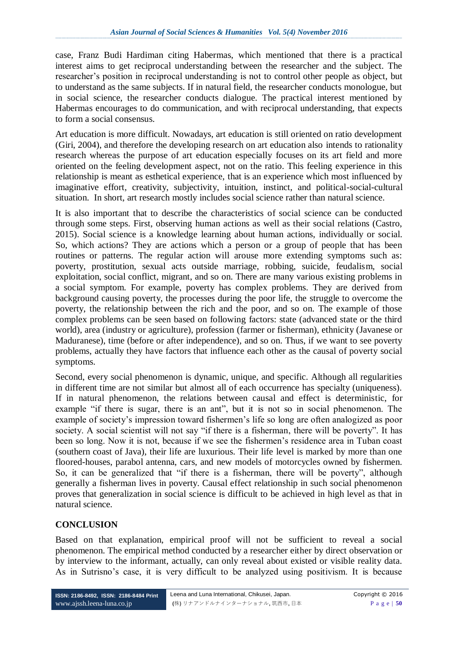case, Franz Budi Hardiman citing Habermas, which mentioned that there is a practical interest aims to get reciprocal understanding between the researcher and the subject. The researcher"s position in reciprocal understanding is not to control other people as object, but to understand as the same subjects. If in natural field, the researcher conducts monologue, but in social science, the researcher conducts dialogue. The practical interest mentioned by Habermas encourages to do communication, and with reciprocal understanding, that expects to form a social consensus.

Art education is more difficult. Nowadays, art education is still oriented on ratio development (Giri, 2004), and therefore the developing research on art education also intends to rationality research whereas the purpose of art education especially focuses on its art field and more oriented on the feeling development aspect, not on the ratio. This feeling experience in this relationship is meant as esthetical experience, that is an experience which most influenced by imaginative effort, creativity, subjectivity, intuition, instinct, and political-social-cultural situation. In short, art research mostly includes social science rather than natural science.

It is also important that to describe the characteristics of social science can be conducted through some steps. First, observing human actions as well as their social relations (Castro, 2015). Social science is a knowledge learning about human actions, individually or social. So, which actions? They are actions which a person or a group of people that has been routines or patterns. The regular action will arouse more extending symptoms such as: poverty, prostitution, sexual acts outside marriage, robbing, suicide, feudalism, social exploitation, social conflict, migrant, and so on. There are many various existing problems in a social symptom. For example, poverty has complex problems. They are derived from background causing poverty, the processes during the poor life, the struggle to overcome the poverty, the relationship between the rich and the poor, and so on. The example of those complex problems can be seen based on following factors: state (advanced state or the third world), area (industry or agriculture), profession (farmer or fisherman), ethnicity (Javanese or Maduranese), time (before or after independence), and so on. Thus, if we want to see poverty problems, actually they have factors that influence each other as the causal of poverty social symptoms.

Second, every social phenomenon is dynamic, unique, and specific. Although all regularities in different time are not similar but almost all of each occurrence has specialty (uniqueness). If in natural phenomenon, the relations between causal and effect is deterministic, for example "if there is sugar, there is an ant", but it is not so in social phenomenon. The example of society's impression toward fishermen's life so long are often analogized as poor society. A social scientist will not say "if there is a fisherman, there will be poverty". It has been so long. Now it is not, because if we see the fishermen's residence area in Tuban coast (southern coast of Java), their life are luxurious. Their life level is marked by more than one floored-houses, parabol antenna, cars, and new models of motorcycles owned by fishermen. So, it can be generalized that "if there is a fisherman, there will be poverty", although generally a fisherman lives in poverty. Causal effect relationship in such social phenomenon proves that generalization in social science is difficult to be achieved in high level as that in natural science.

### **CONCLUSION**

Based on that explanation, empirical proof will not be sufficient to reveal a social phenomenon. The empirical method conducted by a researcher either by direct observation or by interview to the informant, actually, can only reveal about existed or visible reality data. As in Sutrisno's case, it is very difficult to be analyzed using positivism. It is because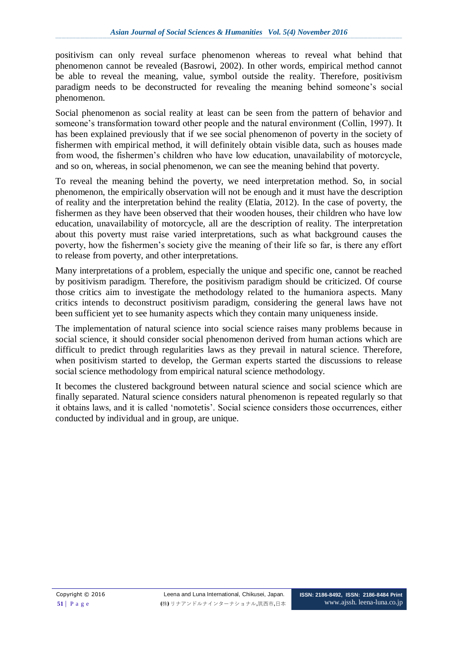positivism can only reveal surface phenomenon whereas to reveal what behind that phenomenon cannot be revealed (Basrowi, 2002). In other words, empirical method cannot be able to reveal the meaning, value, symbol outside the reality. Therefore, positivism paradigm needs to be deconstructed for revealing the meaning behind someone"s social phenomenon.

Social phenomenon as social reality at least can be seen from the pattern of behavior and someone's transformation toward other people and the natural environment (Collin, 1997). It has been explained previously that if we see social phenomenon of poverty in the society of fishermen with empirical method, it will definitely obtain visible data, such as houses made from wood, the fishermen"s children who have low education, unavailability of motorcycle, and so on, whereas, in social phenomenon, we can see the meaning behind that poverty.

To reveal the meaning behind the poverty, we need interpretation method. So, in social phenomenon, the empirically observation will not be enough and it must have the description of reality and the interpretation behind the reality (Elatia, 2012). In the case of poverty, the fishermen as they have been observed that their wooden houses, their children who have low education, unavailability of motorcycle, all are the description of reality. The interpretation about this poverty must raise varied interpretations, such as what background causes the poverty, how the fishermen"s society give the meaning of their life so far, is there any effort to release from poverty, and other interpretations.

Many interpretations of a problem, especially the unique and specific one, cannot be reached by positivism paradigm. Therefore, the positivism paradigm should be criticized. Of course those critics aim to investigate the methodology related to the humaniora aspects. Many critics intends to deconstruct positivism paradigm, considering the general laws have not been sufficient yet to see humanity aspects which they contain many uniqueness inside.

The implementation of natural science into social science raises many problems because in social science, it should consider social phenomenon derived from human actions which are difficult to predict through regularities laws as they prevail in natural science. Therefore, when positivism started to develop, the German experts started the discussions to release social science methodology from empirical natural science methodology.

It becomes the clustered background between natural science and social science which are finally separated. Natural science considers natural phenomenon is repeated regularly so that it obtains laws, and it is called "nomotetis". Social science considers those occurrences, either conducted by individual and in group, are unique.